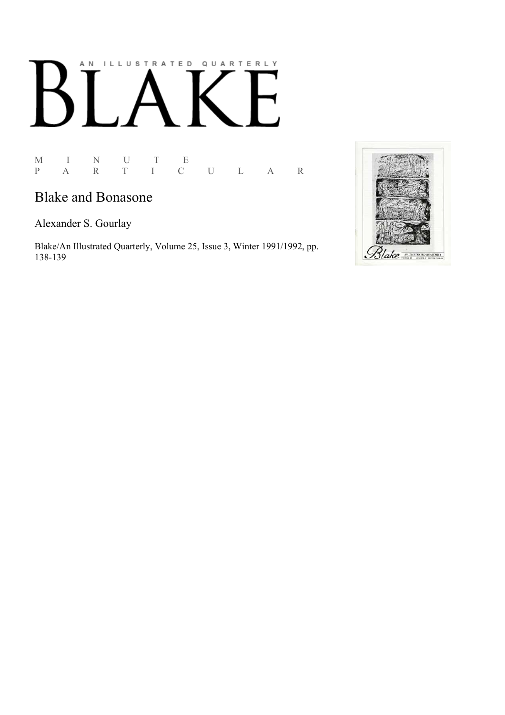# AN ILLUSTRATED QUARTERLY L

#### M I N U T E P A R T I C U L A R

## **Blake and Bonasone**

Alexander S. Gourlay

Blake/An Illustrated Quarterly, Volume 25, Issue 3, Winter 1991/1992, pp. 138-139

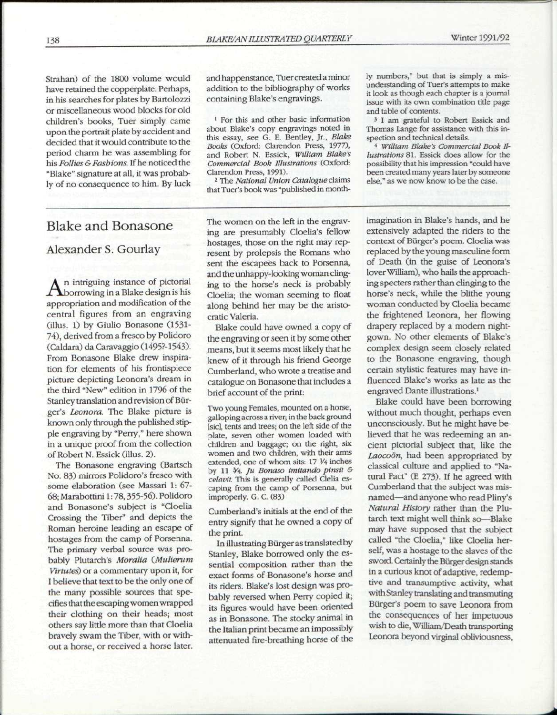Strahan) of the 1800 volume would have retained the copperplate. Perhaps, in his searches for plates by Bartolozzi or miscellaneous wood blocks for old children's books, Tuer simply came upon the portrait plate by accident and decided that it would contribute to the period charm he was assembling for his *Follies & Fashions.* If he noticed the "Blake" signature at all, it was probably of no consequence to him. By luck

### Blake and Bonasone

#### Alexander S. Gourlay

 $A<sup>n</sup>$  intriguing instance of pictorial borrowing in a Blake design is his n intriguing instance of pictorial appropriation and modification of the central figures from an engraving (illus. 1) by Giulio Bonasone (1531- 74), derived from a fresco by Polidoro (Caldara) da Caravaggio (1495?-1543). From Bonasone Blake drew inspiration for elements of his frontispiece picture depicting Leonora's dream in the third "New" edition in 1796 of the Stanley translation and revision of Burger's *Leonora.* The Blake picture is known only through the published stipple engraving by "Perry," here shown in a unique proof from the collection of Robert N. Essick (illus. 2).

The Bonasone engraving (Bartsch No. 83) mirrors Polidoro's fresco with some elaboration (see Massari 1: 67- 68; Marabottini 1:78,355-56). Polidoro and Bonasone's subject is "Cloelia Crossing the Tiber" and depicts the Roman heroine leading an escape of hostages from the camp of Porsenna. The primary verbal source was probably Plutarch's *Moralia (Mulierum Virtutes)* or a commentary upon it, for I believe that text to be the only one of the many possible sources that specifies that the escaping women wrapped their clothing on their heads; most others say little more than that Cloelia bravely swam the Tiber, with or without a horse, or received a horse later.

and happenstance, Tuer created a minor addition to the bibliography of works containing Blake's engravings.

1 For this and other basic information about Blake's copy engravings noted in this essay, see G. E. Bentley, Jr., *Blake Books* (Oxford: Clarendon Press, 1977), and Robert N. Essick, *William Blake's Commercial Book Illustrations* (Oxford: Clarendon Press, 1991).

2 The *National Union Catalogue* claims that Tuer's book was "published in month-

The women on the left in the engraving are presumably Cloelia's fellow hostages, those on the right may represent by prolepsis the Romans who sent the escapees back to Porsenna, and the unhappy-looking woman clinging to the horse's neck is probably Cloelia; the woman seeming to float along behind her may be the aristocratic Valeria.

Blake could have owned a copy of the engraving or seen it by some other means, but it seems most likely that he knew of it through his friend George Cumberland, who wrote a treatise and catalogue on Bonasone that includes a brief account of the print:

Two young Females, mounted on a horse, galloping across a river; in the back ground [sic], tents and trees; on the left side of the plate, seven other women loaded with children and baggage; on the right, six women and two children, with their arms extended, one of whom sits: 17  $\frac{1}{4}$  inches by 11 *¥4. Ju Bonaso imitando pinsit & celavit.* This is generally called Clelia escaping from the camp of Porsenna, but improperly. G. C. (83)

Cumberland's initials at the end of the entry signify that he owned a copy of the print.

In illustrating Burger as translated by Stanley, Blake borrowed only the essential composition rather than the exact forms of Bonasone's horse and its riders. Blake's lost design was probably reversed when Perry copied it; its figures would have been oriented as in Bonasone. The stocky animal in the Italian print became an impossibly attenuated fire-breathing horse of the ly numbers," but that is simply a misunderstanding of Tuer's attempts to make it look as though each chapter is a journal issue with its own combination title page and table of contents.

3 I am grateful to Robert Essick and Thomas Lange for assistance with this inspection and technical details.

*4 William Blake's Commercial Book Illustrations* 81. Essick does allow for the possibility that his impression "could have been created many years later by someone else," as we now know to be the case.

imagination in Blake's hands, and he extensively adapted the riders to the context of Burger's poem. Cloelia was replaced by the young masculine form of Death (in the guise of Leonora's lover William), who hails the approaching specters rather than clinging to the horse's neck, while the blithe young woman conducted by Cloelia became the frightened Leonora, her flowing drapery replaced by a modern nightgown. No other elements of Blake's complex design seem closely related to the Bonasone engraving, though certain stylistic features may have influenced Blake's works as late as the engraved Dante illustrations.<sup>1</sup>

Blake could have been borrowing without much thought, perhaps even unconsciously. But he might have believed that he was redeeming an ancient pictorial subject that, like the *Laocoon,* had been appropriated by classical culture and applied to "Natural Fact" (E 273). If he agreed with Cumberland that the subject was misnamed—and anyone who read Pliny's *Natural History* rather than the Plutarch text might well think so—Blake may have supposed that the subject called "the Cloelia," like Cloelia herself, was a hostage to the slaves of the sword. Certainly the Burger design stands in a curious knot of adaptive, redemptive and transumptive activity, what with Stanley translating and transmuting Burger's poem to save Leonora from the consequences of her impetuous wish to die, William/Death transporting Leonora beyond virginal obliviousness,